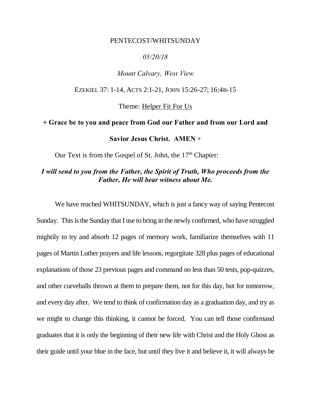#### PENTECOST/WHITSUNDAY

#### *05/20/18*

### *Mount Calvary, West View*

EZEKIEL 37: 1-14, ACTS 2:1-21, JOHN 15:26-27; 16:4B-15

Theme: Helper Fit For Us

## **+ Grace be to you and peace from God our Father and from our Lord and Savior Jesus Christ. AMEN** +

Our Text is from the Gospel of St. John, the  $17<sup>th</sup>$  Chapter:

### *I will send to you from the Father, the Spirit of Truth, Who proceeds from the Father, He will bear witness about Me.*

We have reached WHITSUNDAY, which is just a fancy way of saying Pentecost Sunday. This is the Sunday that I use to bring in the newly confirmed, who have struggled mightily to try and absorb 12 pages of memory work, familiarize themselves with 11 pages of Martin Luther prayers and life lessons, regurgitate 328 plus pages of educational explanations of those 23 previous pages and command no less than 50 tests, pop-quizzes, and other curveballs thrown at them to prepare them, not for this day, but for tomorrow, and every day after. We tend to think of confirmation day as a graduation day, and try as we might to change this thinking, it cannot be forced. You can tell those confirmand graduates that it is only the beginning of their new life with Christ and the Holy Ghost as their guide until your blue in the face, but until they live it and believe it, it will always be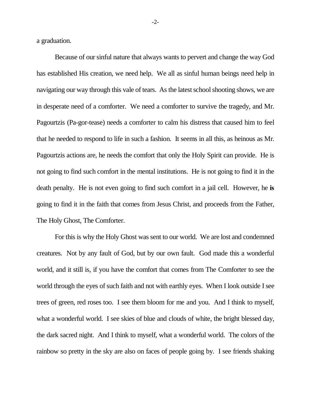a graduation.

Because of our sinful nature that always wants to pervert and change the way God has established His creation, we need help. We all as sinful human beings need help in navigating our way through this vale of tears. As the latest school shooting shows, we are in desperate need of a comforter. We need a comforter to survive the tragedy, and Mr. Pagourtzis (Pa-gor-tease) needs a comforter to calm his distress that caused him to feel that he needed to respond to life in such a fashion. It seems in all this, as heinous as Mr. Pagourtzis actions are, he needs the comfort that only the Holy Spirit can provide. He is not going to find such comfort in the mental institutions. He is not going to find it in the death penalty. He is not even going to find such comfort in a jail cell. However, he **is** going to find it in the faith that comes from Jesus Christ, and proceeds from the Father, The Holy Ghost, The Comforter.

For this is why the Holy Ghost was sent to our world. We are lost and condemned creatures. Not by any fault of God, but by our own fault. God made this a wonderful world, and it still is, if you have the comfort that comes from The Comforter to see the world through the eyes of such faith and not with earthly eyes. When I look outside I see trees of green, red roses too. I see them bloom for me and you. And I think to myself, what a wonderful world. I see skies of blue and clouds of white, the bright blessed day, the dark sacred night. And I think to myself, what a wonderful world. The colors of the rainbow so pretty in the sky are also on faces of people going by. I see friends shaking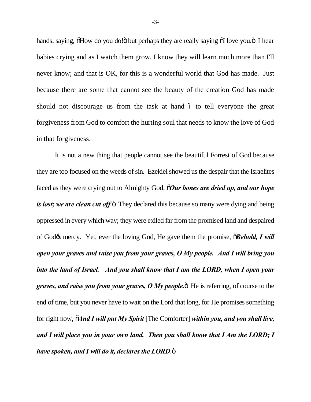hands, saying,  $\delta$ How do you do! $\ddot{\text{o}}$  but perhaps they are really saying  $\ddot{\text{o}}$ I love you. $\ddot{\text{o}}$  I hear babies crying and as I watch them grow, I know they will learn much more than I'll never know; and that is OK, for this is a wonderful world that God has made. Just because there are some that cannot see the beauty of the creation God has made should not discourage us from the task at hand  $\acute{o}$  to tell everyone the great forgiveness from God to comfort the hurting soul that needs to know the love of God in that forgiveness.

It is not a new thing that people cannot see the beautiful Forrest of God because they are too focused on the weeds of sin. Ezekiel showed us the despair that the Israelites faced as they were crying out to Almighty God, "*Our bones are dried up, and our hope is lost; we are clean cut off*.<sup>"</sup> They declared this because so many were dying and being oppressed in every which way; they were exiled far from the promised land and despaired of God $\circ$  mercy. Yet, ever the loving God, He gave them the promise,  $\ddot{\circ}$ *Behold, I will open your graves and raise you from your graves, O My people. And I will bring you into the land of Israel. And you shall know that I am the LORD, when I open your*  graves, and raise you from your graves, O My people.<sup> $\ddot{\text{o}}$ </sup> He is referring, of course to the end of time, but you never have to wait on the Lord that long, for He promises something for right now, "*And I will put My Spirit* [The Comforter] *within you, and you shall live, and I will place you in your own land. Then you shall know that I Am the LORD; I have spoken, and I will do it, declares the LORD.* $\ddot{\text{o}}$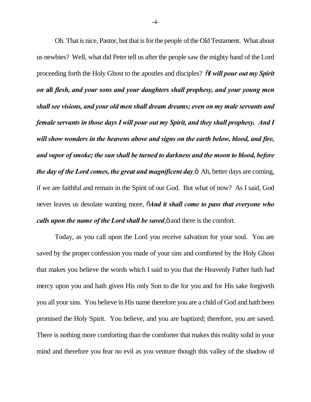Oh. That is nice, Pastor, but that is for the people of the Old Testament. What about us newbies? Well, what did Peter tell us after the people saw the mighty hand of the Lord proceeding forth the Holy Ghost to the apostles and disciples? "*I will pour out my Spirit on* **all** *flesh, and your sons and your daughters shall prophesy, and your young men shall see visions, and your old men shall dream dreams; even on my male servants and female servants in those days I will pour out my Spirit, and they shall prophesy. And I will show wonders in the heavens above and signs on the earth below, blood, and fire, and vapor of smoke; the sun shall be turned to darkness and the moon to blood, before the day of the Lord comes, the great and magnificent day.*  $\ddot{o}$  Ah, better days are coming, if we are faithful and remain in the Spirit of our God. But what of now? As I said, God never leaves us desolate wanting more,  $\tilde{o}$ *And it shall come to pass that everyone who calls upon the name of the Lord shall be saved*,  $\ddot{\text{o}}$  and there is the comfort.

Today, as you call upon the Lord you receive salvation for your soul. You are saved by the proper confession you made of your sins and comforted by the Holy Ghost that makes you believe the words which I said to you that the Heavenly Father hath had mercy upon you and hath given His only Son to die for you and for His sake forgiveth you all your sins. You believe in His name therefore you are a child of God and hath been promised the Holy Spirit. You believe, and you are baptized; therefore, you are saved. There is nothing more comforting than the comforter that makes this reality solid in your mind and therefore you fear no evil as you venture though this valley of the shadow of